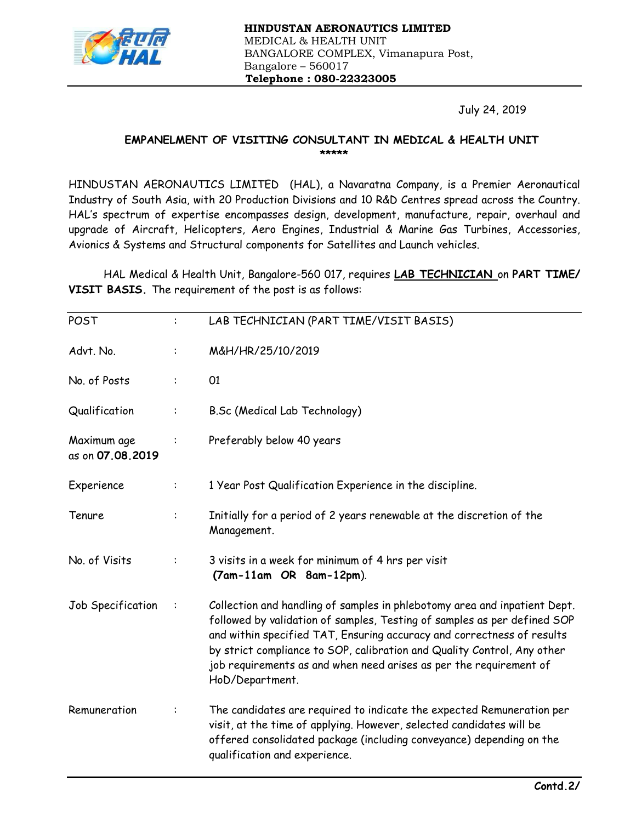

July 24, 2019

## EMPANELMENT OF VISITING CONSULTANT IN MEDICAL & HEALTH UNIT \*\*\*\*\*

HINDUSTAN AERONAUTICS LIMITED (HAL), a Navaratna Company, is a Premier Aeronautical Industry of South Asia, with 20 Production Divisions and 10 R&D Centres spread across the Country. HAL's spectrum of expertise encompasses design, development, manufacture, repair, overhaul and upgrade of Aircraft, Helicopters, Aero Engines, Industrial & Marine Gas Turbines, Accessories, Avionics & Systems and Structural components for Satellites and Launch vehicles.

HAL Medical & Health Unit, Bangalore-560 017, requires LAB TECHNICIAN on PART TIME/ VISIT BASIS. The requirement of the post is as follows:

| POST                            | $\ddot{\phantom{a}}$ | LAB TECHNICIAN (PART TIME/VISIT BASIS)                                                                                                                                                                                                                                                                                                                                                              |
|---------------------------------|----------------------|-----------------------------------------------------------------------------------------------------------------------------------------------------------------------------------------------------------------------------------------------------------------------------------------------------------------------------------------------------------------------------------------------------|
| Advt. No.                       | ÷                    | M&H/HR/25/10/2019                                                                                                                                                                                                                                                                                                                                                                                   |
| No. of Posts                    |                      | 01                                                                                                                                                                                                                                                                                                                                                                                                  |
| Qualification                   | ÷                    | B.Sc (Medical Lab Technology)                                                                                                                                                                                                                                                                                                                                                                       |
| Maximum age<br>as on 07.08.2019 |                      | Preferably below 40 years                                                                                                                                                                                                                                                                                                                                                                           |
| Experience                      | ÷                    | 1 Year Post Qualification Experience in the discipline.                                                                                                                                                                                                                                                                                                                                             |
| Tenure                          | $\ddot{\cdot}$       | Initially for a period of 2 years renewable at the discretion of the<br>Management.                                                                                                                                                                                                                                                                                                                 |
| No. of Visits                   |                      | 3 visits in a week for minimum of 4 hrs per visit<br>(7am-11am OR 8am-12pm).                                                                                                                                                                                                                                                                                                                        |
| Job Specification               |                      | Collection and handling of samples in phlebotomy area and inpatient Dept.<br>followed by validation of samples, Testing of samples as per defined SOP<br>and within specified TAT, Ensuring accuracy and correctness of results<br>by strict compliance to SOP, calibration and Quality Control, Any other<br>job requirements as and when need arises as per the requirement of<br>HoD/Department. |
| Remuneration                    |                      | The candidates are required to indicate the expected Remuneration per<br>visit, at the time of applying. However, selected candidates will be<br>offered consolidated package (including conveyance) depending on the<br>qualification and experience.                                                                                                                                              |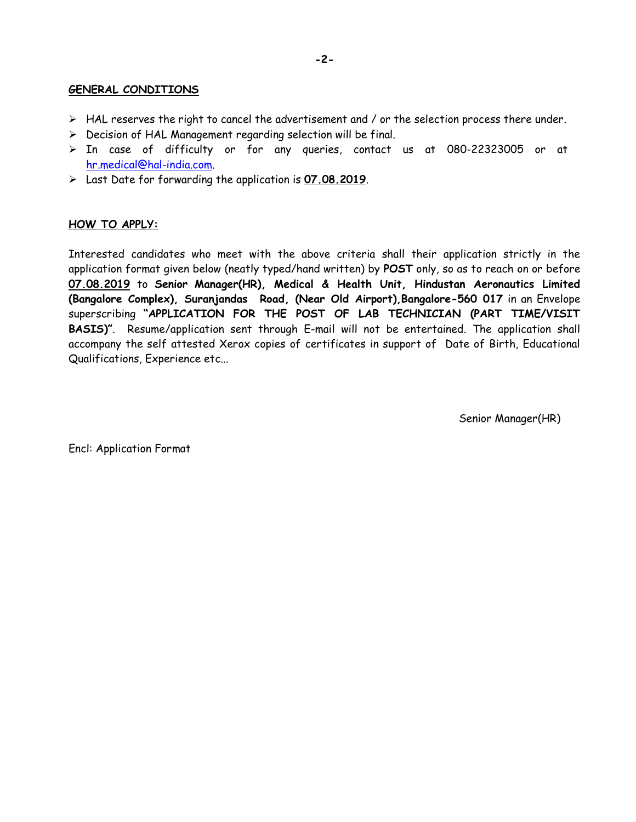## GENERAL CONDITIONS

- $\triangleright$  HAL reserves the right to cancel the advertisement and / or the selection process there under.
- $\triangleright$  Decision of HAL Management regarding selection will be final.
- $\triangleright$  In case of difficulty or for any queries, contact us at 080-22323005 or at hr.medical@hal-india.com.
- Last Date for forwarding the application is 07.08.2019.

## HOW TO APPLY:

Interested candidates who meet with the above criteria shall their application strictly in the application format given below (neatly typed/hand written) by POST only, so as to reach on or before 07.08.2019 to Senior Manager(HR), Medical & Health Unit, Hindustan Aeronautics Limited (Bangalore Complex), Suranjandas Road, (Near Old Airport),Bangalore-560 017 in an Envelope superscribing "APPLICATION FOR THE POST OF LAB TECHNICIAN (PART TIME/VISIT BASIS)". Resume/application sent through E-mail will not be entertained. The application shall accompany the self attested Xerox copies of certificates in support of Date of Birth, Educational Qualifications, Experience etc...

Senior Manager(HR)

Encl: Application Format